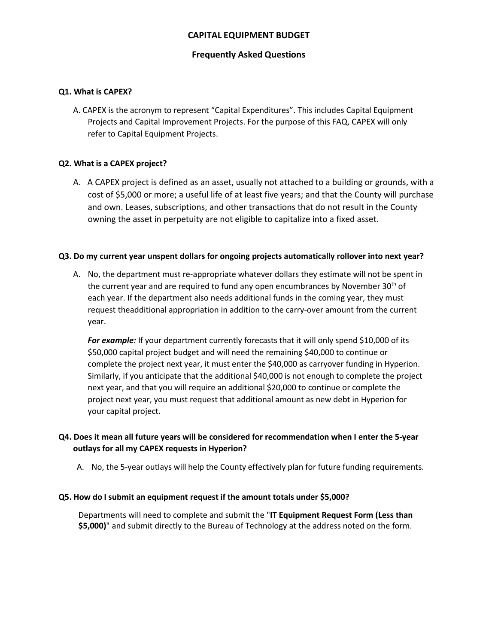# **CAPITAL EQUIPMENT BUDGET**

## **Frequently Asked Questions**

### **Q1. What is CAPEX?**

A. CAPEX is the acronym to represent "Capital Expenditures". This includes Capital Equipment Projects and Capital Improvement Projects. For the purpose of this FAQ, CAPEX will only refer to Capital Equipment Projects.

### **Q2. What is a CAPEX project?**

A. A CAPEX project is defined as an asset, usually not attached to a building or grounds, with a cost of \$5,000 or more; a useful life of at least five years; and that the County will purchase and own. Leases, subscriptions, and other transactions that do not result in the County owning the asset in perpetuity are not eligible to capitalize into a fixed asset.

#### **Q3. Do my current year unspent dollars for ongoing projects automatically rollover into next year?**

A. No, the department must re-appropriate whatever dollars they estimate will not be spent in the current year and are required to fund any open encumbrances by November 30<sup>th</sup> of each year. If the department also needs additional funds in the coming year, they must request theadditional appropriation in addition to the carry-over amount from the current year.

For example: If your department currently forecasts that it will only spend \$10,000 of its \$50,000 capital project budget and will need the remaining \$40,000 to continue or complete the project next year, it must enter the \$40,000 as carryover funding in Hyperion. Similarly, if you anticipate that the additional \$40,000 is not enough to complete the project next year, and that you will require an additional \$20,000 to continue or complete the project next year, you must request that additional amount as new debt in Hyperion for your capital project.

# **Q4. Does it mean all future years will be considered for recommendation when I enter the 5-year outlays for all my CAPEX requests in Hyperion?**

A. No, the 5-year outlays will help the County effectively plan for future funding requirements.

#### **Q5. How do I submit an equipment request if the amount totals under \$5,000?**

Departments will need to complete and submit the "**IT Equipment Request Form (Less than \$5,000)**" and submit directly to the Bureau of Technology at the address noted on the form.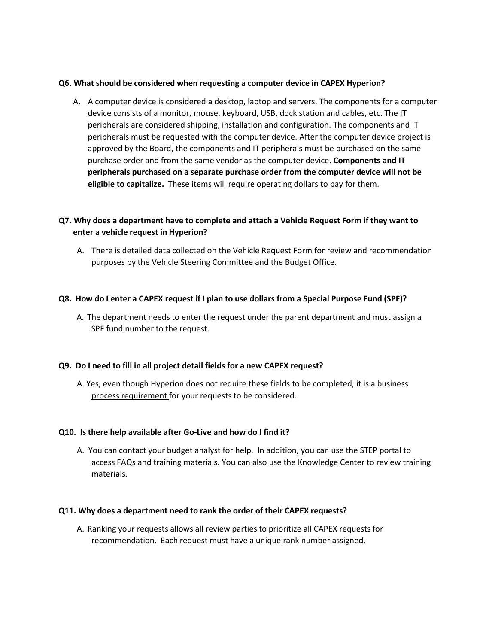### **Q6. What should be considered when requesting a computer device in CAPEX Hyperion?**

A. A computer device is considered a desktop, laptop and servers. The components for a computer device consists of a monitor, mouse, keyboard, USB, dock station and cables, etc. The IT peripherals are considered shipping, installation and configuration. The components and IT peripherals must be requested with the computer device. After the computer device project is approved by the Board, the components and IT peripherals must be purchased on the same purchase order and from the same vendor as the computer device. **Components and IT peripherals purchased on a separate purchase order from the computer device will not be eligible to capitalize.** These items will require operating dollars to pay for them.

# **Q7. Why does a department have to complete and attach a Vehicle Request Form if they want to enter a vehicle request in Hyperion?**

A. There is detailed data collected on the Vehicle Request Form for review and recommendation purposes by the Vehicle Steering Committee and the Budget Office.

### **Q8. How do I enter a CAPEX request if I plan to use dollars from a Special Purpose Fund (SPF)?**

A. The department needs to enter the request under the parent department and must assign a SPF fund number to the request.

#### **Q9. Do I need to fill in all project detail fields for a new CAPEX request?**

A. Yes, even though Hyperion does not require these fields to be completed, it is a business process requirement for your requests to be considered.

## **Q10. Is there help available after Go-Live and how do I find it?**

A. You can contact your budget analyst for help. In addition, you can use the STEP portal to access FAQs and training materials. You can also use the Knowledge Center to review training materials.

#### **Q11. Why does a department need to rank the order of their CAPEX requests?**

A. Ranking your requests allows all review parties to prioritize all CAPEX requests for recommendation. Each request must have a unique rank number assigned.